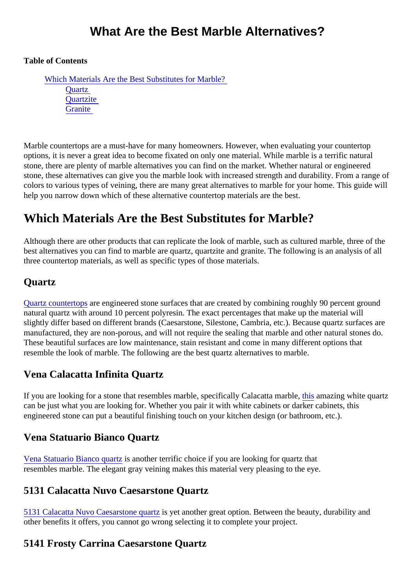## What Are the Best Marble Alternatives?

Table of Contents

Which Materials Are the Best Substitutes for Marble? **Quartz [Quartzite](#page-1-0) [Granite](#page-2-0)** 

Marble countertops are a must-have for many homeowners. However, when evaluating your countertop options, it is never a great idea to become fixated on only one material. While marble is a terrific natural stone, there are plenty of marble alternatives you can find on the market. Whether natural or engineered stone, these alternatives can give you the marble look with increased strength and durability. From a ranger colors to various types of veining, there are many great alternatives to marble for your home. This guide will help you narrow down which of these alternative countertop materials are the best.

# Which Materials Are the Best Substitutes for Marble?

Although there are other products that can replicate the look of marble, such as cultured marble, three of t best alternatives you can find to marble are quartz, quartzite and granite. The following is an analysis of all three countertop materials, as well as specific types of those materials.

### **Quartz**

[Quartz countertop](https://marble.com/quartz-countertops)areengineered stone surfaces that are created by combining roughly 90 percent ground natural quartz with around 10 percent polyresin. The exact percentages that make up the material will slightly differ based on different brands (Caesarstone, Silestone, Cambria, etc.). Because quartz surfaces manufactured, they are non-porous, and will not require the sealing that marble and other natural stones do. These beautiful surfaces are low maintenance, stain resistant and come in many different options that resemble the look of marble. The following are the best quartz alternatives to marble.

## Vena Calacatta Infinita Quartz

If you are looking for a stone that resembles [marb](https://marble.com/quartz-countertops/vena-calacatta-infinita/1202)le, specifically Calacatta narable, azing white quartz can be just what you are looking for. Whether you pair it with white cabinets or darker cabinets, this engineered stone can put a beautiful finishing touch on your kitchen design (or bathroom, etc.).

#### Vena Statuario Bianco Quartz

[Vena Statuario Bianco qua](https://marble.com/quartz-countertops/vena-statuario-bianco/1204)rtzanother terrific choice if you are looking for quartz that resembles marble. The elegant gray veining makes this material very pleasing to the eye.

#### 5131 Calacatta Nuvo Caesarstone Quartz

[5131 Calacatta Nuvo Caesarstone qu](https://marble.com/quartz-countertops/5131-calacatta-nuvo-caesarstone/834)isity another great option. Between the beauty, durability and other benefits it offers, you cannot go wrong selecting it to complete your project.

## 5141 Frosty Carrina Caesarstone Quartz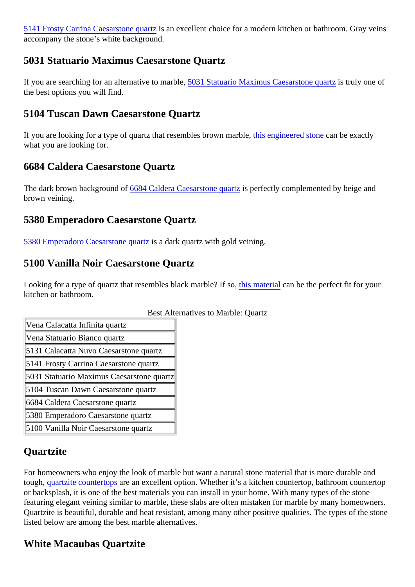<span id="page-1-0"></span>[5141 Frosty Carrina Caesarstone qu](https://marble.com/quartz-countertops/5141-frosty-carrina-casarstone/847)istianexcellent choice for a modern kitchen or bathroom. Gray veins accompany the stone's white background.

#### 5031 Statuario Maximus Caesarstone Quartz

Ifyou are searching for an alternative to mar**5081** Statuario Maximus Caesarstone quisit ally one of the best options you will find.

## 5104 Tuscan Dawn Caesarstone Quartz

Ifyou are looking for a type of quartz that resembles brown marrology dineered store an be exactly what you are looking for.

### 6684 Caldera Caesarstone Quartz

Thedark brown background 6684 Caldera Caesarstone quast perfectly complemented by beige and brown veining.

#### 5380 Emperadoro Caesarstone Quartz

[5380 Emperadoro Caesarstone qu](https://marble.com/quartz-countertops/5380-emperadoro-caesarstone/861)artz dark quartz with gold veining.

### 5100 Vanilla Noir Caesarstone Quartz

Lookingfor a type of quartz that resembles black marble? *If is material* can be the perfect fit for your kitchen or bathroom.

| <b>Best Alternatives to Marble: Quartz</b> |
|--------------------------------------------|
|--------------------------------------------|

| Vena Calacatta Infinita quartz            |  |
|-------------------------------------------|--|
| Vena Statuario Bianco quartz              |  |
| 5131 Calacatta Nuvo Caesarstone quart‡    |  |
| 5141 Frosty Carrina Caesarstone quartz    |  |
| 5031 Statuario Maximus Caesarstone quartz |  |
| 5104 Tuscan Dawn Caesarstone quartz       |  |
| 6684 Caldera Caesarstone quartz           |  |
| 5380 Emperadoro Caesarstone quartz        |  |
| 5100 Vanilla Noir Caesarstone quartz      |  |

## **Quartzite**

For homeowners who enjoy the look of marble but want a natural stone material that is more durable and tough[, quartzite countertop](https://marble.com/quartzite-countertops)are an excellent option. Whether it's a kitchen countertop, bathroom countertop or backsplash, it is one of the best materials you can install in your home. With many types of the stone featuring elegant veining similar to marble, these slabs are often mistaken for marble by many homeowne Quartzite is beautiful, durable and heat resistant, among many other positive qualities. The types of the sto listed below are among the best marble alternatives.

#### White Macaubas Quartzite